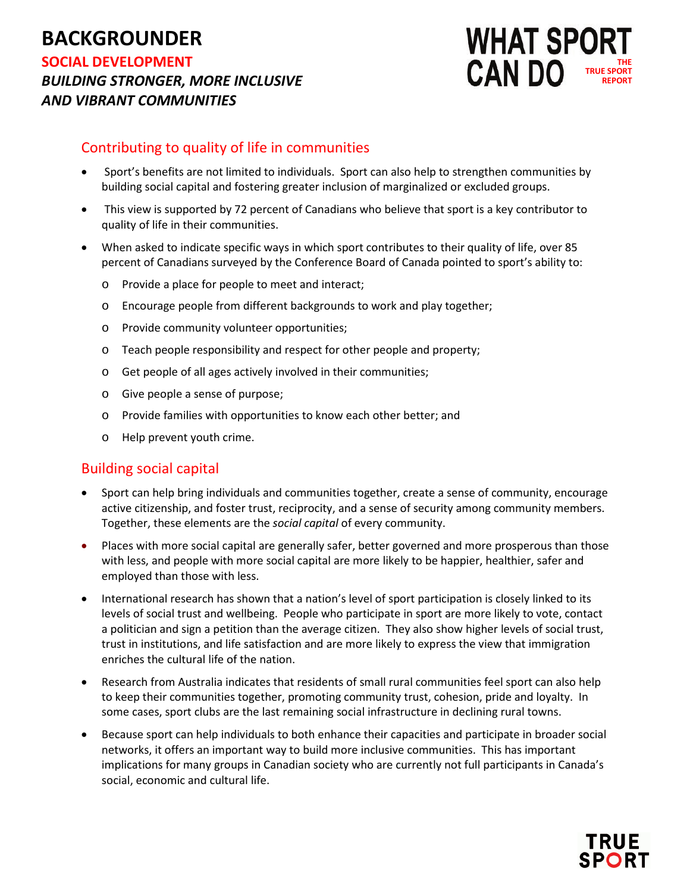# **BACKGROUNDER SOCIAL DEVELOPMENT**

*BUILDING STRONGER, MORE INCLUSIVE AND VIBRANT COMMUNITIES*



## Contributing to quality of life in communities

- Sport's benefits are not limited to individuals. Sport can also help to strengthen communities by building social capital and fostering greater inclusion of marginalized or excluded groups.
- This view is supported by 72 percent of Canadians who believe that sport is a key contributor to quality of life in their communities.
- When asked to indicate specific ways in which sport contributes to their quality of life, over 85 percent of Canadians surveyed by the Conference Board of Canada pointed to sport's ability to:
	- o Provide a place for people to meet and interact;
	- o Encourage people from different backgrounds to work and play together;
	- o Provide community volunteer opportunities;
	- o Teach people responsibility and respect for other people and property;
	- o Get people of all ages actively involved in their communities;
	- o Give people a sense of purpose;
	- o Provide families with opportunities to know each other better; and
	- o Help prevent youth crime.

### Building social capital

- Sport can help bring individuals and communities together, create a sense of community, encourage active citizenship, and foster trust, reciprocity, and a sense of security among community members. Together, these elements are the *social capital* of every community.
- Places with more social capital are generally safer, better governed and more prosperous than those with less, and people with more social capital are more likely to be happier, healthier, safer and employed than those with less.
- International research has shown that a nation's level of sport participation is closely linked to its levels of social trust and wellbeing. People who participate in sport are more likely to vote, contact a politician and sign a petition than the average citizen. They also show higher levels of social trust, trust in institutions, and life satisfaction and are more likely to express the view that immigration enriches the cultural life of the nation.
- Research from Australia indicates that residents of small rural communities feel sport can also help to keep their communities together, promoting community trust, cohesion, pride and loyalty. In some cases, sport clubs are the last remaining social infrastructure in declining rural towns.
- Because sport can help individuals to both enhance their capacities and participate in broader social networks, it offers an important way to build more inclusive communities. This has important implications for many groups in Canadian society who are currently not full participants in Canada's social, economic and cultural life.

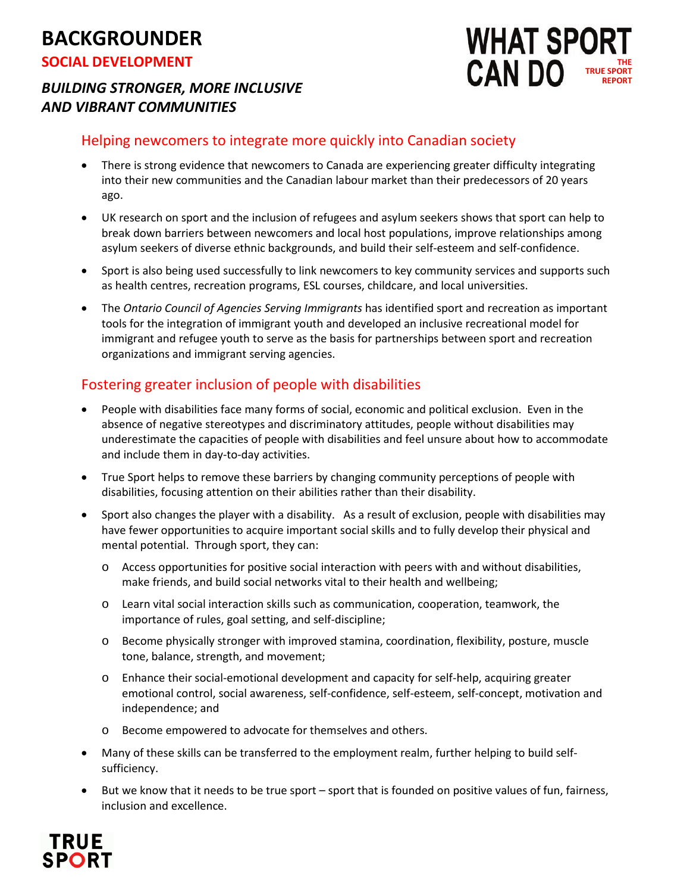# **BACKGROUNDER**

**SOCIAL DEVELOPMENT**

# *BUILDING STRONGER, MORE INCLUSIVE AND VIBRANT COMMUNITIES*

#### **WHAT SPOR CAN DO THE TRUE SPORT REPORT**

# Helping newcomers to integrate more quickly into Canadian society

- There is strong evidence that newcomers to Canada are experiencing greater difficulty integrating into their new communities and the Canadian labour market than their predecessors of 20 years ago.
- UK research on sport and the inclusion of refugees and asylum seekers shows that sport can help to break down barriers between newcomers and local host populations, improve relationships among asylum seekers of diverse ethnic backgrounds, and build their self-esteem and self-confidence.
- Sport is also being used successfully to link newcomers to key community services and supports such as health centres, recreation programs, ESL courses, childcare, and local universities.
- The *Ontario Council of Agencies Serving Immigrants* has identified sport and recreation as important tools for the integration of immigrant youth and developed an inclusive recreational model for immigrant and refugee youth to serve as the basis for partnerships between sport and recreation organizations and immigrant serving agencies.

# Fostering greater inclusion of people with disabilities

- People with disabilities face many forms of social, economic and political exclusion. Even in the absence of negative stereotypes and discriminatory attitudes, people without disabilities may underestimate the capacities of people with disabilities and feel unsure about how to accommodate and include them in day-to-day activities.
- True Sport helps to remove these barriers by changing community perceptions of people with disabilities, focusing attention on their abilities rather than their disability.
- Sport also changes the player with a disability. As a result of exclusion, people with disabilities may have fewer opportunities to acquire important social skills and to fully develop their physical and mental potential. Through sport, they can:
	- o Access opportunities for positive social interaction with peers with and without disabilities, make friends, and build social networks vital to their health and wellbeing;
	- o Learn vital social interaction skills such as communication, cooperation, teamwork, the importance of rules, goal setting, and self-discipline;
	- o Become physically stronger with improved stamina, coordination, flexibility, posture, muscle tone, balance, strength, and movement;
	- o Enhance their social-emotional development and capacity for self-help, acquiring greater emotional control, social awareness, self-confidence, self-esteem, self-concept, motivation and independence; and
	- o Become empowered to advocate for themselves and others.
- Many of these skills can be transferred to the employment realm, further helping to build selfsufficiency.
- But we know that it needs to be true sport sport that is founded on positive values of fun, fairness, inclusion and excellence.